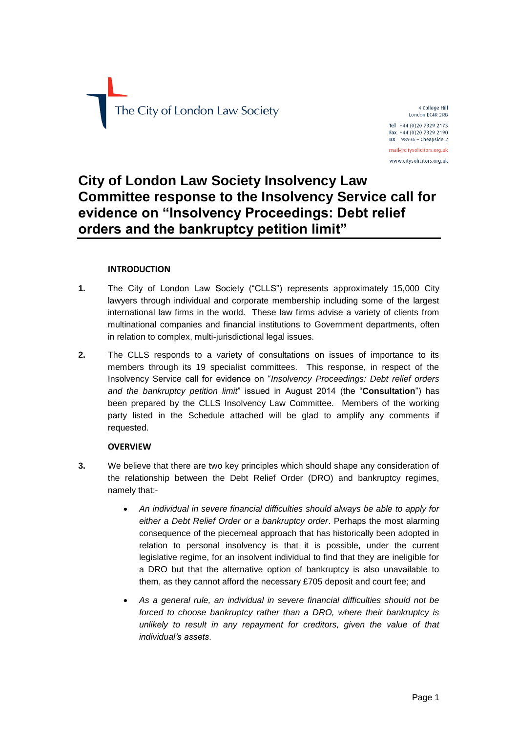

4 College Hill London EC4R 2RB Tel +44 (0)20 7329 2173 Fax +44 (0)20 7329 2190  $DX$  98936 - Cheapside 2 mail@citysolicitors.org.uk

www.citysolicitors.org.uk

# **City of London Law Society Insolvency Law Committee response to the Insolvency Service call for evidence on "Insolvency Proceedings: Debt relief orders and the bankruptcy petition limit"**

# **INTRODUCTION**

- **1.** The City of London Law Society ("CLLS") represents approximately 15,000 City lawyers through individual and corporate membership including some of the largest international law firms in the world. These law firms advise a variety of clients from multinational companies and financial institutions to Government departments, often in relation to complex, multi-jurisdictional legal issues.
- **2.** The CLLS responds to a variety of consultations on issues of importance to its members through its 19 specialist committees. This response, in respect of the Insolvency Service call for evidence on "*Insolvency Proceedings: Debt relief orders and the bankruptcy petition limit*" issued in August 2014 (the "**Consultation**") has been prepared by the CLLS Insolvency Law Committee. Members of the working party listed in the Schedule attached will be glad to amplify any comments if requested.

# **OVERVIEW**

- **3.** We believe that there are two key principles which should shape any consideration of the relationship between the Debt Relief Order (DRO) and bankruptcy regimes, namely that:-
	- *An individual in severe financial difficulties should always be able to apply for either a Debt Relief Order or a bankruptcy order*. Perhaps the most alarming consequence of the piecemeal approach that has historically been adopted in relation to personal insolvency is that it is possible, under the current legislative regime, for an insolvent individual to find that they are ineligible for a DRO but that the alternative option of bankruptcy is also unavailable to them, as they cannot afford the necessary £705 deposit and court fee; and
	- *As a general rule, an individual in severe financial difficulties should not be forced to choose bankruptcy rather than a DRO, where their bankruptcy is unlikely to result in any repayment for creditors, given the value of that individual's assets*.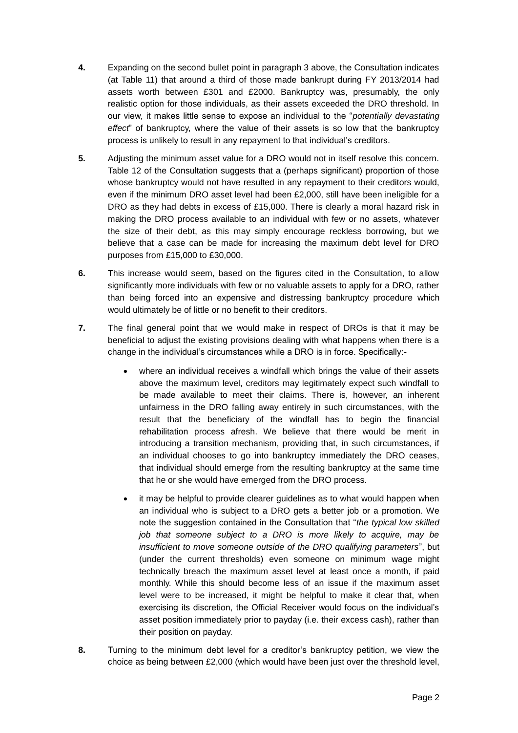- **4.** Expanding on the second bullet point in paragraph 3 above, the Consultation indicates (at Table 11) that around a third of those made bankrupt during FY 2013/2014 had assets worth between £301 and £2000. Bankruptcy was, presumably, the only realistic option for those individuals, as their assets exceeded the DRO threshold. In our view, it makes little sense to expose an individual to the "*potentially devastating effect*" of bankruptcy, where the value of their assets is so low that the bankruptcy process is unlikely to result in any repayment to that individual's creditors.
- **5.** Adjusting the minimum asset value for a DRO would not in itself resolve this concern. Table 12 of the Consultation suggests that a (perhaps significant) proportion of those whose bankruptcy would not have resulted in any repayment to their creditors would, even if the minimum DRO asset level had been £2,000, still have been ineligible for a DRO as they had debts in excess of £15,000. There is clearly a moral hazard risk in making the DRO process available to an individual with few or no assets, whatever the size of their debt, as this may simply encourage reckless borrowing, but we believe that a case can be made for increasing the maximum debt level for DRO purposes from £15,000 to £30,000.
- **6.** This increase would seem, based on the figures cited in the Consultation, to allow significantly more individuals with few or no valuable assets to apply for a DRO, rather than being forced into an expensive and distressing bankruptcy procedure which would ultimately be of little or no benefit to their creditors.
- **7.** The final general point that we would make in respect of DROs is that it may be beneficial to adjust the existing provisions dealing with what happens when there is a change in the individual's circumstances while a DRO is in force. Specifically:
	- where an individual receives a windfall which brings the value of their assets above the maximum level, creditors may legitimately expect such windfall to be made available to meet their claims. There is, however, an inherent unfairness in the DRO falling away entirely in such circumstances, with the result that the beneficiary of the windfall has to begin the financial rehabilitation process afresh. We believe that there would be merit in introducing a transition mechanism, providing that, in such circumstances, if an individual chooses to go into bankruptcy immediately the DRO ceases, that individual should emerge from the resulting bankruptcy at the same time that he or she would have emerged from the DRO process.
	- it may be helpful to provide clearer guidelines as to what would happen when an individual who is subject to a DRO gets a better job or a promotion. We note the suggestion contained in the Consultation that "*the typical low skilled job that someone subject to a DRO is more likely to acquire, may be insufficient to move someone outside of the DRO qualifying parameters*", but (under the current thresholds) even someone on minimum wage might technically breach the maximum asset level at least once a month, if paid monthly. While this should become less of an issue if the maximum asset level were to be increased, it might be helpful to make it clear that, when exercising its discretion, the Official Receiver would focus on the individual's asset position immediately prior to payday (i.e. their excess cash), rather than their position on payday.
- **8.** Turning to the minimum debt level for a creditor's bankruptcy petition, we view the choice as being between £2,000 (which would have been just over the threshold level,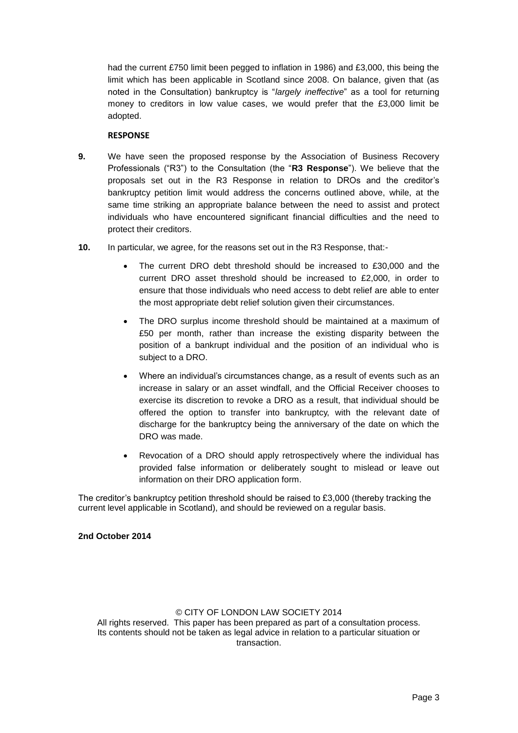had the current £750 limit been pegged to inflation in 1986) and £3,000, this being the limit which has been applicable in Scotland since 2008. On balance, given that (as noted in the Consultation) bankruptcy is "*largely ineffective*" as a tool for returning money to creditors in low value cases, we would prefer that the £3,000 limit be adopted.

## **RESPONSE**

- **9.** We have seen the proposed response by the Association of Business Recovery Professionals ("R3") to the Consultation (the "**R3 Response**"). We believe that the proposals set out in the R3 Response in relation to DROs and the creditor's bankruptcy petition limit would address the concerns outlined above, while, at the same time striking an appropriate balance between the need to assist and protect individuals who have encountered significant financial difficulties and the need to protect their creditors.
- **10.** In particular, we agree, for the reasons set out in the R3 Response, that:-
	- The current DRO debt threshold should be increased to £30,000 and the current DRO asset threshold should be increased to £2,000, in order to ensure that those individuals who need access to debt relief are able to enter the most appropriate debt relief solution given their circumstances.
	- The DRO surplus income threshold should be maintained at a maximum of £50 per month, rather than increase the existing disparity between the position of a bankrupt individual and the position of an individual who is subject to a DRO.
	- Where an individual's circumstances change, as a result of events such as an increase in salary or an asset windfall, and the Official Receiver chooses to exercise its discretion to revoke a DRO as a result, that individual should be offered the option to transfer into bankruptcy, with the relevant date of discharge for the bankruptcy being the anniversary of the date on which the DRO was made.
	- Revocation of a DRO should apply retrospectively where the individual has provided false information or deliberately sought to mislead or leave out information on their DRO application form.

The creditor's bankruptcy petition threshold should be raised to £3,000 (thereby tracking the current level applicable in Scotland), and should be reviewed on a regular basis.

#### **2nd October 2014**

#### © CITY OF LONDON LAW SOCIETY 2014

All rights reserved. This paper has been prepared as part of a consultation process. Its contents should not be taken as legal advice in relation to a particular situation or transaction.